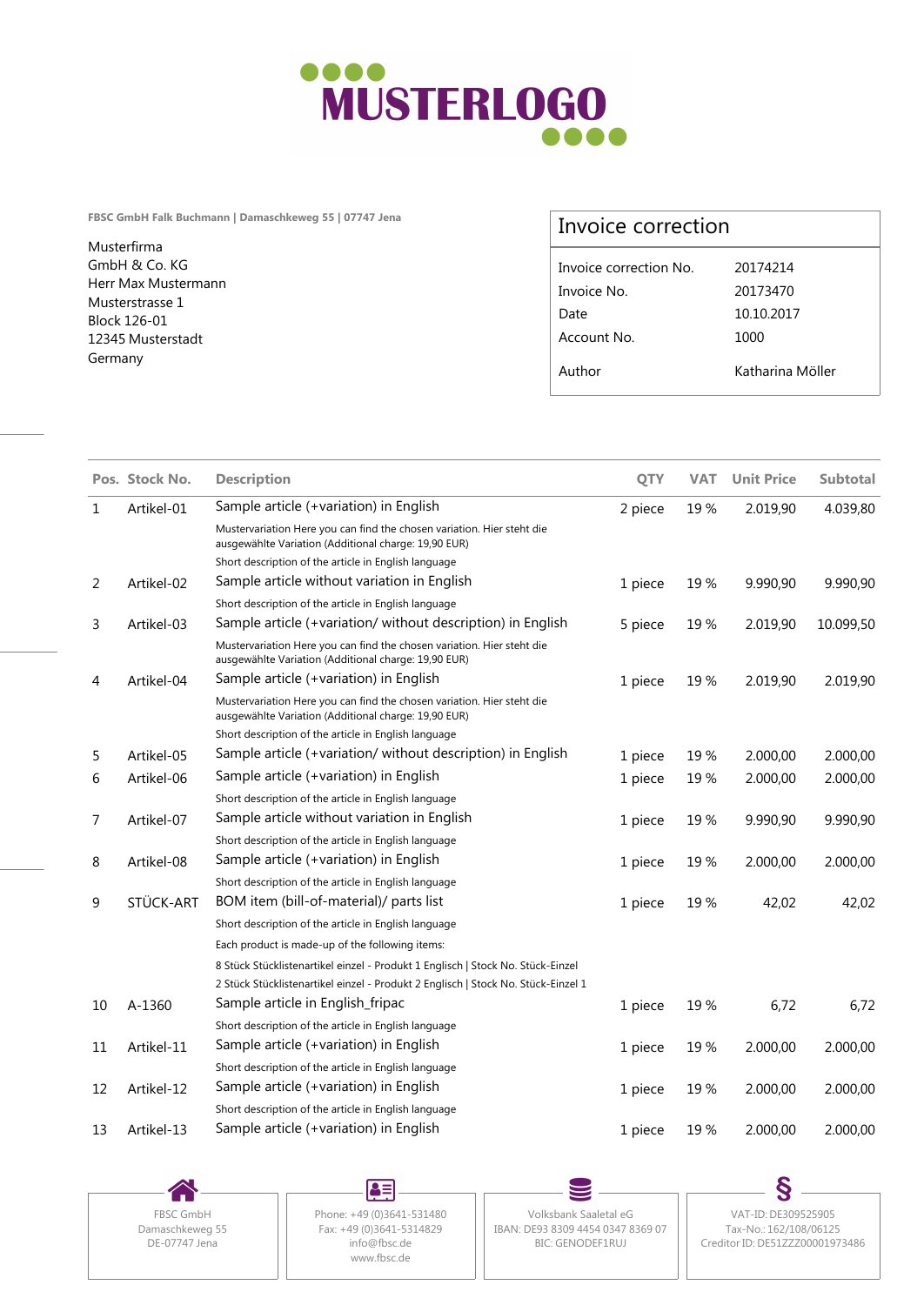

**FBSC GmbH Falk Buchmann | Damaschkeweg 55 | 07747 Jena**

Musterfirma GmbH & Co. KG Herr Max Mustermann Musterstrasse 1 Block 126-01 12345 Musterstadt Germany

## Invoice correction

| Invoice correction No. | 20174214         |  |
|------------------------|------------------|--|
| Invoice No.            | 20173470         |  |
| Date                   | 10.10.2017       |  |
| Account No.            | 1000             |  |
| Author                 | Katharina Möller |  |
|                        |                  |  |

|    | Pos. Stock No. | <b>Description</b>                                                                                                                                                   | <b>QTY</b> | <b>VAT</b> | <b>Unit Price</b> | <b>Subtotal</b> |
|----|----------------|----------------------------------------------------------------------------------------------------------------------------------------------------------------------|------------|------------|-------------------|-----------------|
| 1  | Artikel-01     | Sample article (+variation) in English                                                                                                                               | 2 piece    | 19%        | 2.019,90          | 4.039,80        |
|    |                | Mustervariation Here you can find the chosen variation. Hier steht die<br>ausgewählte Variation (Additional charge: 19,90 EUR)                                       |            |            |                   |                 |
|    |                | Short description of the article in English language                                                                                                                 |            |            |                   |                 |
| 2  | Artikel-02     | Sample article without variation in English                                                                                                                          | 1 piece    | 19%        | 9.990,90          | 9.990,90        |
|    |                | Short description of the article in English language                                                                                                                 |            |            |                   |                 |
| 3  | Artikel-03     | Sample article (+variation/ without description) in English                                                                                                          | 5 piece    | 19%        | 2.019,90          | 10.099,50       |
|    |                | Mustervariation Here you can find the chosen variation. Hier steht die<br>ausgewählte Variation (Additional charge: 19,90 EUR)                                       |            |            |                   |                 |
| 4  | Artikel-04     | Sample article (+variation) in English                                                                                                                               | 1 piece    | 19%        | 2.019,90          | 2.019,90        |
|    |                | Mustervariation Here you can find the chosen variation. Hier steht die<br>ausgewählte Variation (Additional charge: 19,90 EUR)                                       |            |            |                   |                 |
|    |                | Short description of the article in English language                                                                                                                 |            |            |                   |                 |
| 5  | Artikel-05     | Sample article (+variation/without description) in English                                                                                                           | 1 piece    | 19%        | 2.000,00          | 2.000,00        |
| 6  | Artikel-06     | Sample article (+variation) in English                                                                                                                               | 1 piece    | 19%        | 2.000,00          | 2.000,00        |
|    |                | Short description of the article in English language                                                                                                                 |            |            |                   |                 |
| 7  | Artikel-07     | Sample article without variation in English                                                                                                                          | 1 piece    | 19%        | 9.990,90          | 9.990,90        |
|    |                | Short description of the article in English language                                                                                                                 |            |            |                   |                 |
| 8  | Artikel-08     | Sample article (+variation) in English                                                                                                                               | 1 piece    | 19%        | 2.000,00          | 2.000,00        |
|    |                | Short description of the article in English language                                                                                                                 |            |            |                   |                 |
| 9  | STÜCK-ART      | BOM item (bill-of-material)/ parts list                                                                                                                              | 1 piece    | 19%        | 42,02             | 42,02           |
|    |                | Short description of the article in English language                                                                                                                 |            |            |                   |                 |
|    |                | Each product is made-up of the following items:                                                                                                                      |            |            |                   |                 |
|    |                | 8 Stück Stücklistenartikel einzel - Produkt 1 Englisch   Stock No. Stück-Einzel<br>2 Stück Stücklistenartikel einzel - Produkt 2 Englisch   Stock No. Stück-Einzel 1 |            |            |                   |                 |
| 10 | A-1360         | Sample article in English_fripac                                                                                                                                     | 1 piece    | 19%        | 6,72              | 6,72            |
|    |                | Short description of the article in English language                                                                                                                 |            |            |                   |                 |
| 11 | Artikel-11     | Sample article (+variation) in English                                                                                                                               | 1 piece    | 19%        | 2.000,00          | 2.000,00        |
|    |                | Short description of the article in English language                                                                                                                 |            |            |                   |                 |
| 12 | Artikel-12     | Sample article (+variation) in English                                                                                                                               | 1 piece    | 19%        | 2.000,00          | 2.000,00        |
|    |                | Short description of the article in English language                                                                                                                 |            |            |                   |                 |
|    |                | Sample article (+variation) in English                                                                                                                               |            |            |                   |                 |
| 13 | Artikel-13     |                                                                                                                                                                      | 1 piece    | 19%        | 2.000,00          | 2.000,00        |

DE-07747 Jena

 $\blacktriangle\equiv$ Damaschkeweg 55 www.fbsc.de

FBSC GmbH | Phone: +49 (0)3641-531480 | Volksbank Saaletal eG Fax: +49 (0)3641-5314829 || IBAN: DE93 8309 4454 0347 8369 07 || Tax-No.: 162/108/06125 info@fbsc.de BIC: GENODEF1RUJ

Volksbank Saaletal eG VAT-ID: DE309525905 Tax-No.: 162/108/06125 Creditor ID: DE51ZZZ00001973486

S